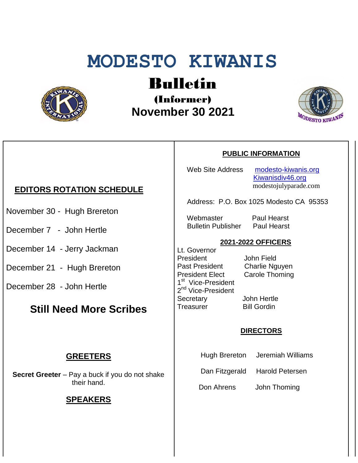# **MODESTO KIWANIS**



## Bulletin

(Informer)  **November 30 2021**



## **EDITORS ROTATION SCHEDULE**

- November 30 Hugh Brereton
- December 7 John Hertle
- December 14 Jerry Jackman
- December 21 Hugh Brereton
- December 28 John Hertle

### **Still Need More Scribes**

#### **GREETERS**

**Secret Greeter** – Pay a buck if you do not shake their hand.

#### **SPEAKERS**

#### **PUBLIC INFORMATION**

Web Site Address [modesto-kiwanis.org](http://modesto-kiwanis.org/) [Kiwanisdiv46.org](http://www.kiwanisdiv46.org/) modestojulyparade.com

Address: P.O. Box 1025 Modesto CA 95353

 Webmaster Paul Hearst Bulletin Publisher Paul Hearst

#### **2021-2022 OFFICERS**

Lt. Governor President John Field Past President Charlie Nguyen President Elect Carole Thoming 1<sup>st</sup> Vice-President 2<sup>nd</sup> Vice-President Secretary John Hertle Treasurer Bill Gordin

#### **DIRECTORS**

- Hugh Brereton Jeremiah Williams
- Dan Fitzgerald Harold Petersen

Don Ahrens John Thoming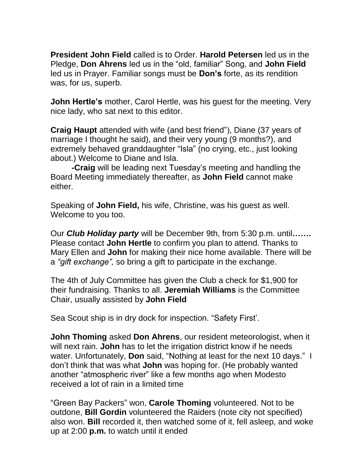**President John Field** called is to Order. **Harold Petersen** led us in the Pledge, **Don Ahrens** led us in the "old, familiar" Song, and **John Field** led us in Prayer. Familiar songs must be **Don's** forte, as its rendition was, for us, superb.

**John Hertle's** mother, Carol Hertle, was his guest for the meeting. Very nice lady, who sat next to this editor.

**Craig Haupt** attended with wife (and best friend"), Diane (37 years of marriage I thought he said), and their very young (9 months?), and extremely behaved granddaughter "Isla" (no crying, etc., just looking about.) Welcome to Diane and Isla.

**-Craig** will be leading next Tuesday's meeting and handling the Board Meeting immediately thereafter, as **John Field** cannot make either.

Speaking of **John Field,** his wife, Christine, was his guest as well. Welcome to you too.

Our *Club Holiday party* will be December 9th, from 5:30 p.m. until**…….** Please contact **John Hertle** to confirm you plan to attend. Thanks to Mary Ellen and **John** for making their nice home available. There will be a *"gift exchange",* so bring a gift to participate in the exchange.

The 4th of July Committee has given the Club a check for \$1,900 for their fundraising. Thanks to all. **Jeremiah Williams** is the Committee Chair, usually assisted by **John Field**

Sea Scout ship is in dry dock for inspection. "Safety First'.

**John Thoming** asked **Don Ahrens**, our resident meteorologist, when it will next rain. **John** has to let the irrigation district know if he needs water. Unfortunately, **Don** said, "Nothing at least for the next 10 days." I don't think that was what **John** was hoping for. (He probably wanted another "atmospheric river" like a few months ago when Modesto received a lot of rain in a limited time

"Green Bay Packers" won, **Carole Thoming** volunteered. Not to be outdone, **Bill Gordin** volunteered the Raiders (note city not specified) also won. **Bill** recorded it, then watched some of it, fell asleep, and woke up at 2:00 **p.m.** to watch until it ended